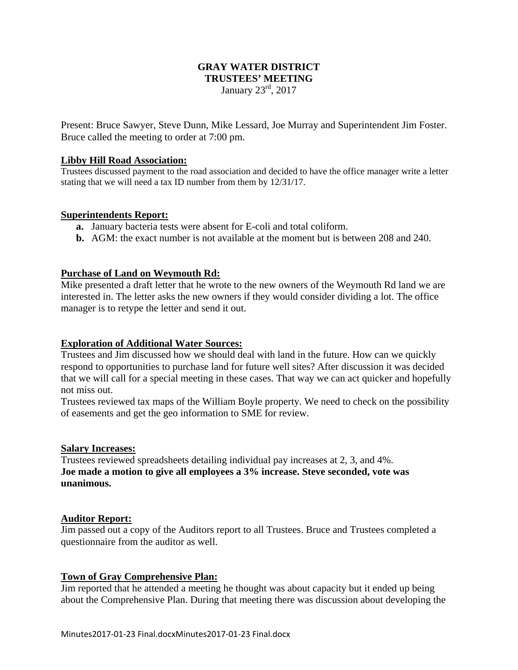# **GRAY WATER DISTRICT TRUSTEES' MEETING**  January 23rd, 2017

Present: Bruce Sawyer, Steve Dunn, Mike Lessard, Joe Murray and Superintendent Jim Foster. Bruce called the meeting to order at 7:00 pm.

#### **Libby Hill Road Association:**

Trustees discussed payment to the road association and decided to have the office manager write a letter stating that we will need a tax ID number from them by 12/31/17.

#### **Superintendents Report:**

- **a.** January bacteria tests were absent for E-coli and total coliform.
- **b.** AGM: the exact number is not available at the moment but is between 208 and 240.

#### **Purchase of Land on Weymouth Rd:**

Mike presented a draft letter that he wrote to the new owners of the Weymouth Rd land we are interested in. The letter asks the new owners if they would consider dividing a lot. The office manager is to retype the letter and send it out.

# **Exploration of Additional Water Sources:**

Trustees and Jim discussed how we should deal with land in the future. How can we quickly respond to opportunities to purchase land for future well sites? After discussion it was decided that we will call for a special meeting in these cases. That way we can act quicker and hopefully not miss out.

Trustees reviewed tax maps of the William Boyle property. We need to check on the possibility of easements and get the geo information to SME for review.

#### **Salary Increases:**

Trustees reviewed spreadsheets detailing individual pay increases at 2, 3, and 4%. **Joe made a motion to give all employees a 3% increase. Steve seconded, vote was unanimous.** 

# **Auditor Report:**

Jim passed out a copy of the Auditors report to all Trustees. Bruce and Trustees completed a questionnaire from the auditor as well.

# **Town of Gray Comprehensive Plan:**

Jim reported that he attended a meeting he thought was about capacity but it ended up being about the Comprehensive Plan. During that meeting there was discussion about developing the